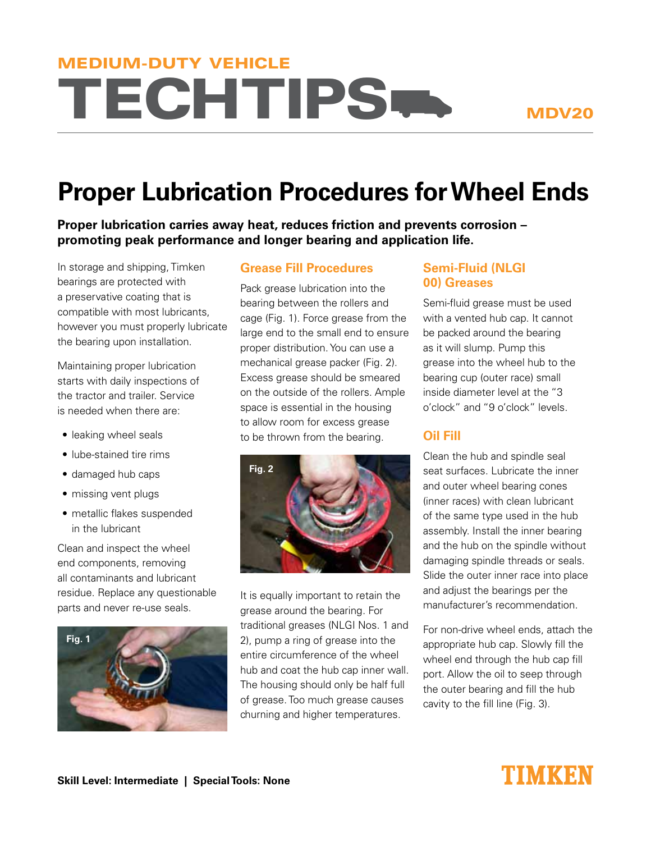# **TECHTIPS-**MEDIUM-DUTY VEHICLE

## **Proper Lubrication Procedures for Wheel Ends**

**Proper lubrication carries away heat, reduces friction and prevents corrosion – promoting peak performance and longer bearing and application life.** 

In storage and shipping, Timken bearings are protected with a preservative coating that is compatible with most lubricants, however you must properly lubricate the bearing upon installation.

Maintaining proper lubrication starts with daily inspections of the tractor and trailer. Service is needed when there are:

- leaking wheel seals
- lube-stained tire rims
- damaged hub caps
- missing vent plugs
- metallic flakes suspended in the lubricant

Clean and inspect the wheel end components, removing all contaminants and lubricant residue. Replace any questionable parts and never re-use seals.



#### **Grease Fill Procedures**

Pack grease lubrication into the bearing between the rollers and cage (Fig. 1). Force grease from the large end to the small end to ensure proper distribution. You can use a mechanical grease packer (Fig. 2). Excess grease should be smeared on the outside of the rollers. Ample space is essential in the housing to allow room for excess grease to be thrown from the bearing.



It is equally important to retain the grease around the bearing. For traditional greases (NLGI Nos. 1 and 2), pump a ring of grease into the entire circumference of the wheel hub and coat the hub cap inner wall. The housing should only be half full of grease. Too much grease causes churning and higher temperatures.

#### **Semi-Fluid (NLGI 00) Greases**

Semi-fluid grease must be used with a vented hub cap. It cannot be packed around the bearing as it will slump. Pump this grease into the wheel hub to the bearing cup (outer race) small inside diameter level at the "3 o'clock" and "9 o'clock" levels.

### **Oil Fill**

Clean the hub and spindle seal seat surfaces. Lubricate the inner and outer wheel bearing cones (inner races) with clean lubricant of the same type used in the hub assembly. Install the inner bearing and the hub on the spindle without damaging spindle threads or seals. Slide the outer inner race into place and adjust the bearings per the manufacturer's recommendation.

For non-drive wheel ends, attach the appropriate hub cap. Slowly fill the wheel end through the hub cap fill port. Allow the oil to seep through the outer bearing and fill the hub cavity to the fill line (Fig. 3).